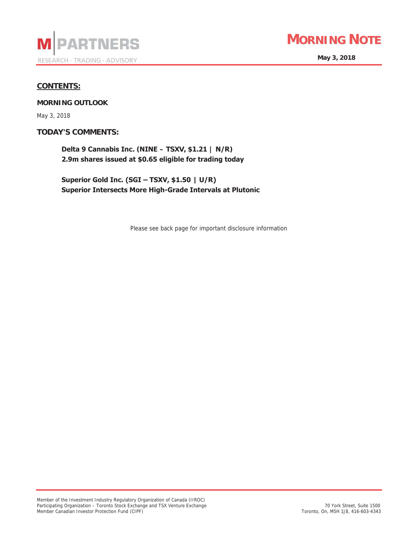



**May 3, 2018** 

## **CONTENTS:**

**MORNING OUTLOOK** 

May 3, 2018

**TODAY'S COMMENTS:**

**Delta 9 Cannabis Inc. (NINE – TSXV, \$1.21 | N/R)** 2.9m shares issued at \$0.65 eligible for trading today

**Superior Gold Inc. (SGI - TSXV, \$1.50 | U/R) Superior Intersects More High-Grade Intervals at Plutonic** 

Please see back page for important disclosure information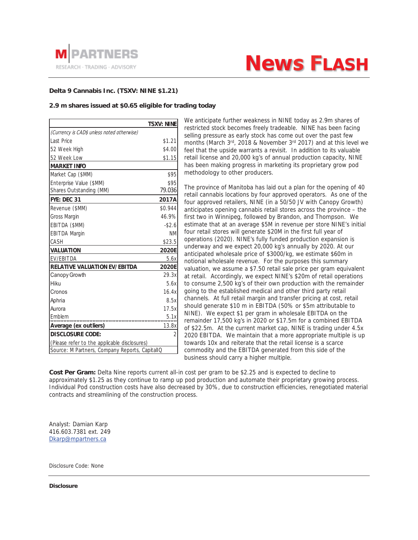

# **News FLASH**

### **Delta 9 Cannabis Inc. (TSXV: NINE \$1.21)**

#### **2.9 m shares issued at \$0.65 eligible for trading today**

|                                                | <b>TSXV: NINE</b> |
|------------------------------------------------|-------------------|
| (Currency is CAD\$ unless noted otherwise)     |                   |
| Last Price                                     | \$1.21            |
| 52 Week High                                   | \$4.00            |
| 52 Week Low                                    | \$1.15            |
| <b>MARKET INFO</b>                             |                   |
| Market Cap (\$MM)                              | \$95              |
| Enterprise Value (\$MM)                        | \$95              |
| Shares Outstanding (MM)                        | 79.036            |
| FYE: DEC 31                                    | 2017A             |
| Revenue (\$MM)                                 | \$0.944           |
| <b>Gross Margin</b>                            | 46.9%             |
| EBITDA (\$MM)                                  | $-$2.6$           |
| <b>EBITDA Margin</b>                           | <b>NM</b>         |
| CASH                                           | \$23.5            |
| <b>VALUATION</b>                               | 2020E             |
| EV/EBITDA                                      | 5.6x              |
| <b>RELATIVE VALUATION EV/EBITDA</b>            | 2020E             |
| Canopy Growth                                  | 29.3x             |
| Hiku                                           | 5.6x              |
| Cronos                                         | 16.4x             |
| Aphria                                         | 8.5x              |
| Aurora                                         | 17.5x             |
| Emblem                                         | 5.1x              |
| Average (ex outliers)                          | 13.8x             |
| <b>DISCLOSURE CODE:</b>                        | $\overline{2}$    |
| (Please refer to the applicable disclosures)   |                   |
| Source: M Partners, Company Reports, CapitallQ |                   |
|                                                |                   |

We anticipate further weakness in NINE today as 2.9m shares of restricted stock becomes freely tradeable. NINE has been facing selling pressure as early stock has come out over the past few months (March 3<sup>rd</sup>, 2018 & November 3<sup>rd</sup> 2017) and at this level we feel that the upside warrants a revisit. In addition to its valuable retail license and 20,000 kg's of annual production capacity, NINE has been making progress in marketing its proprietary grow pod methodology to other producers.

The province of Manitoba has laid out a plan for the opening of 40 retail cannabis locations by four approved operators. As one of the four approved retailers, NINE (in a 50/50 JV with Canopy Growth) anticipates opening cannabis retail stores across the province – the first two in Winnipeg, followed by Brandon, and Thompson. We estimate that at an average \$5M in revenue per store NINE's initial four retail stores will generate \$20M in the first full year of operations (2020). NINE's fully funded production expansion is underway and we expect 20,000 kg's annually by 2020. At our anticipated wholesale price of \$3000/kg, we estimate \$60m in notional wholesale revenue. For the purposes this summary valuation, we assume a \$7.50 retail sale price per gram equivalent at retail. Accordingly, we expect NINE's \$20m of retail operations to consume 2,500 kg's of their own production with the remainder going to the established medical and other third party retail channels. At full retail margin and transfer pricing at cost, retail should generate \$10 m in EBITDA (50% or \$5m attributable to NINE). We expect \$1 per gram in wholesale EBITDA on the remainder 17,500 kg's in 2020 or \$17.5m for a combined EBITDA of \$22.5m. At the current market cap, NINE is trading under 4.5x 2020 EBITDA. We maintain that a more appropriate multiple is up towards 10x and reiterate that the retail license is a scarce commodity and the EBITDA generated from this side of the business should carry a higher multiple.

**Cost Per Gram:** Delta Nine reports current all-in cost per gram to be \$2.25 and is expected to decline to approximately \$1.25 as they continue to ramp up pod production and automate their proprietary growing process. Individual Pod construction costs have also decreased by 30%, due to construction efficiencies, renegotiated material contracts and streamlining of the construction process.

Analyst: Damian Karp 416.603.7381 ext. 249 Dkarp@mpartners.ca

Disclosure Code: None